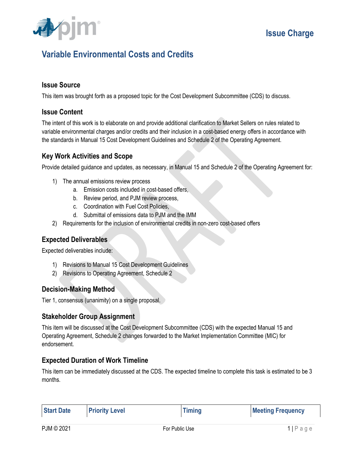

## **Variable Environmental Costs and Credits**

#### **Issue Source**

This item was brought forth as a proposed topic for the Cost Development Subcommittee (CDS) to discuss.

#### **Issue Content**

The intent of this work is to elaborate on and provide additional clarification to Market Sellers on rules related to variable environmental charges and/or credits and their inclusion in a cost-based energy offers in accordance with the standards in Manual 15 Cost Development Guidelines and Schedule 2 of the Operating Agreement.

#### **Key Work Activities and Scope**

Provide detailed guidance and updates, as necessary, in Manual 15 and Schedule 2 of the Operating Agreement for:

- 1) The annual emissions review process
	- a. Emission costs included in cost-based offers,
	- b. Review period, and PJM review process,
	- c. Coordination with Fuel Cost Policies,
	- d. Submittal of emissions data to PJM and the IMM
- 2) Requirements for the inclusion of environmental credits in non-zero cost-based offers

#### **Expected Deliverables**

Expected deliverables include:

- 1) Revisions to Manual 15 Cost Development Guidelines
- 2) Revisions to Operating Agreement, Schedule 2

#### **Decision-Making Method**

Tier 1, consensus (unanimity) on a single proposal.

#### **Stakeholder Group Assignment**

This item will be discussed at the Cost Development Subcommittee (CDS) with the expected Manual 15 and Operating Agreement, Schedule 2 changes forwarded to the Market Implementation Committee (MIC) for endorsement.

#### **Expected Duration of Work Timeline**

This item can be immediately discussed at the CDS. The expected timeline to complete this task is estimated to be 3 months.